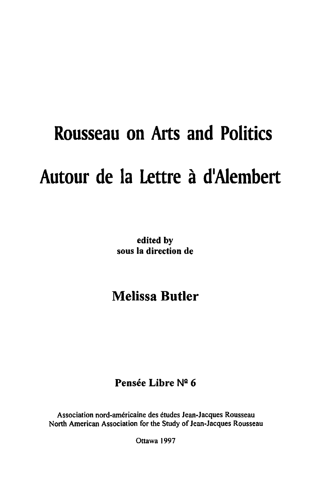# **Rousseau on Arts and Politics Autour de la Lettre a dlAiembert**

edited by sous la direction de

## Melissa **Butler**

### Pensée Libre Nº 6

Association nord-americaine des etudes Jean-Jacques Rousseau North American Association for the Study of Jean-Jacques Rousseau

Ottawa 1997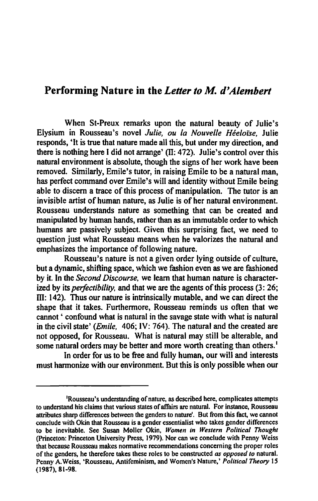#### Performing Nature in the *Letter to* M. *d'A/embert*

When St-Preux remarks upon the natural beauty of Julie's Elysium in Rousseau's novel *Julie, ou la Nouvelle Heelofse,* Julie responds, 'It is true that nature made all this, but under my direction, and there is nothing here I did not arrange'  $(II: 472)$ . Julie's control over this natural environment is absolute, though the signs of her work have been removed. Similarly, Emile's tutor, in raising Emile to be a natural man, has perfect command over Emile's will and identity without Emile being able to discern a trace of this process of manipulation. The tutor is an invisible artist of human nature, as Julie is of her natural environment. Rousseau understands nature as something that can be created and manipUlated by human hands, rather than as an immutable order to which humans are passively subject. Given this surprising fact, we need to question just what Rousseau means when he valorizes the natural and emphasizes the importance of following nature.

Rousseau's nature is not a given order lying outside of culture, but a dynamic, shifting space, which we fashion even as we are fashioned by it. In the *Second Discourse,* we learn that human nature is characterized by its *perfectibility*, and that we are the agents of this process (3: 26;  $III: 142$ ). Thus our nature is intrinsically mutable, and we can direct the shape that it takes. Furthermore, Rousseau reminds us often that we cannot' confound what is natural in the savage state with what is natural in the civil state' *(Emile,* 406; IV: 764). The natural and the created are not opposed, for Rousseau. What is natural may still be alterable, and some natural orders may be better and more worth creating than others.<sup>1</sup>

In order for us to be free and fully human, our will and interests must harmonize with our environment. But this is only possible when our

IRousseau's understanding of nature. as described here. complicates attempts to understand his claims that various states of affairs are natural. For instance. Rousseau attributes sharp differences between the genders to nature'. But from this fact, we cannot conclude with Okin that Rousseau is a gender essentialist who takes gender differences to be inevitable. See Susan Moller Okin. *Women in Western Political Thought*  (Princeton: Princeton University Press. 1979). Nor can we conclude with Penny Weiss that because Rousseau makes normative recommendations concerning the proper roles of the genders. he therefore takes these roles to be constructed *as opposed to* natural. Penny A. Weiss, 'Rousseau, Antifeminism. and Women's Nature,' *Political Theory IS*  (1987), 81-98.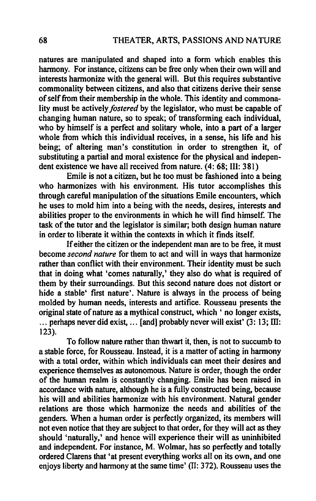natures are manipulated and shaped into a form which enables this harmony. For instance, citizens can be free only when their own will and interests harmonize with the general will. But this requires substantive commonality between citizens, and also that citizens derive their sense of self from their membership in the whole. This identity and commonality must be actively *fostered* by the legislator, who must be capable of changing human nature, so to speak; of transforming each individual, who by himself is a perfect and solitary whole, into a part of a larger whole from which this individual receives, in a sense, his life and his being; of altering man's constitution in order to strengthen it, of substituting a partial and moral existence for the physical and independent existence we have all received from nature. (4: 68; Ill: 381)

Emile is not a citizen, but he too must be fashioned into a being who harmonizes with his environment. His tutor accomplishes this through careful manipulation of the situations Emile encounters, which he uses to mold him into a being with the needs, desires, interests and abilities proper to the environments in which he will find himself. The task of the tutor and the legislator is similar; both design human nature in order to liberate it within the contexts in which it finds itself.

If either the citizen or the independent man are to be free, it must become *second nature* for them to act and will in ways that harmonize rather than conflict with their environment. Their identity must be such that in doing what 'comes naturally,' they also do what is required of them by their surroundings. But this second nature does not distort or hide a stable' first nature'. Nature is always in the process of being molded by human needs, interests and artifice. Rousseau presents the original state of nature as a mythical construct, which' no longer exists,  $\ldots$  perhaps never did exist,  $\ldots$  [and] probably never will exist' (3: 13;  $\text{III}$ ) 123).

To follow nature rather than thwart it, then, is not to succumb to a stable force, for Rousseau. Instead, it is a matter of acting in harmony with a total order, within which individuals can meet their desires and experience themselves as autonomous. Nature is order, though the order of the human realm is constantly changing. Emile has been raised in accordance with nature, although he is a fully constructed being, because his will and abilities harmonize with his environment. Natural gender relations are those which harmonize the needs and abilities of the genders. When a human order is perfectly organized, its members will not even notice that they are subject to that order, for they will act as they should 'naturally,' and hence will experience their will as uninhibited and independent. For instance, M. Wolmar, has so perfectly and totally ordered Clarens that 'at present everything works all on its own, and one enjoys liberty and harmony at the same time' (II: 372). Rousseau uses the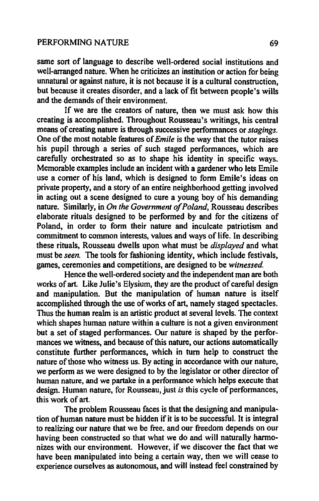same sort of language to describe well-ordered social institutions and well-arranged nature. When he criticizes an institution or action for being unnatural or against nature, it is not because it is a cultural construction, but because it creates disorder, and a lack of fit between people's wills and the demands of their environment.

If we are the creators of nature, then we must ask how this creating is accomplished. Throughout Rousseau's writings, his central means of creating nature is through successive performances or *stagings.*  One of the most notable features of *Emile* is the way that the tutor raises his pupil through a series of such staged performances, which are carefully orchestrated so as to shape his identity in specific ways. Memorable examples include an incident with a gardener who lets Emile use a corner of his land, which is designed to form Emile's ideas on private property, and a story of an entire neighborhood getting involved in acting out a scene designed to cure a young boy of his demanding nature. Similarly, in *On the Government of Poland,* Rousseau describes elaborate rituals designed to be performed by and for the citizens of Poland, in order to form their nature and inculcate patriotism and commitment to common interests, values and ways of life. In describing these rituals, Rousseau dwells upon what must be *displayed* and what must be *seen.* The tools for fashioning identity, which include festivals, games, ceremonies and competitions, are designed to be *witnessed.* 

Hence the well-ordered society and the independent man are both works of art. Like Julie's Elysium, they are the product of careful design and manipulation. But the manipulation of human nature is itself accomplished through the use of works of art, namely staged spectacles. Thus the human realm is an artistic product at several levels. The context which shapes human nature within a culture is not a given environment but a set of staged performances. Our nature is shaped by the performances we witness, and because of this nature, our actions automatically constitute further performances, which in turn help to construct the nature of those who witness us. By acting in accordance with our nature, we perform as we were designed to by the legislator or other director of human nature, and we partake in a performance which helps execute that design. Human nature, for Rousseau, just *is* this cycle of performances, this work of art.

The problem Rousseau faces is that the designing and manipulation of human nature must be hidden if it is to be successful. It is integral to realizing our nature that we be free. and our freedom depends on our having been constructed so that what we do and will naturally harmonizes with our environment. However, if we discover the fact that we have been manipulated into being a certain way, then we will cease to experience ourselves as autonomous, and will instead feel constrained by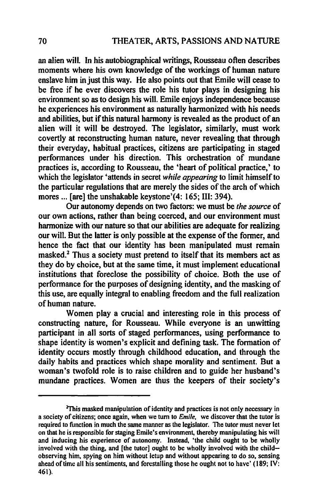an alien will. In his autobiographical writings, Rousseau often describes moments where his own knowledge of the workings of human nature enslave him in just this way. He also points out that Emile will cease to be free if he ever discovers the role his tutor plays in designing his environment so as to design his will. Emile enjoys independence because he experiences his environment as naturally harmonized with his needs and abilities, but if this natural harmony is revealed as the product of an alien will it will be destroyed. The legislator, similarly, must work covertly at reconstructing human nature, never revealing that through their everyday, habitual practices, citizens are participating in staged performances under his direction. This orchestration of mundane practices is, according to Rousseau, the 'heart of political practice,' to which the legislator 'attends in secret *while appearing* to limit himself to the particular regulations that are merely the sides of the arch of which mores ... [are] the unshakable keystone'(4: 165: III: 394).

Our autonomy depends on two factors: we must be *the source* of our own actions, rather than being coerced, and our environment must harmonize with our nature so that our abilities are adequate for realizing our will. But the latter is only possible at the expense of the former, and hence the fact that our identity has been manipulated must remain masked.2 Thus a society must pretend to itself that its members act as they do by choice, but at the same time, it must implement educational institutions that foreclose the possibility of choice. Both the use of performance for the purposes of designing identity, and the masking of this use, are equally integral to enabling freedom and the full realization of human nature.

Women play a crucial and interesting role in this process of constructing nature, for Rousseau. While everyone is an unwitting participant in all sorts of staged performances, using performance to shape identity is women's explicit and defining task. The formation of identity occurs mostly through childhood education, and through the daily habits and practices which shape morality and sentiment. But a woman's twofold role is to raise children and to guide her husband's mundane practices. Women are thus the keepers of their society's

<sup>&</sup>lt;sup>2</sup>This masked manipulation of identity and practices is not only necessary in a society of citizens; once again, when we tum to *Emile,* we discover that the tutor is required to function in much the same manner as the legislator. The tutor must never let on that he is responsible for staging Emile's environment, thereby manipulating his will and inducing his experience of autonomy. Instead, 'the child ought to be wholly involved with the thing. and [the tutor] ought to be wholly involved with the childobserving him, spying on him without letup and without appearing to do so, sensing ahead of time all his sentiments, and forestalling those he ought not to have'  $(189; 1V)$ : 461).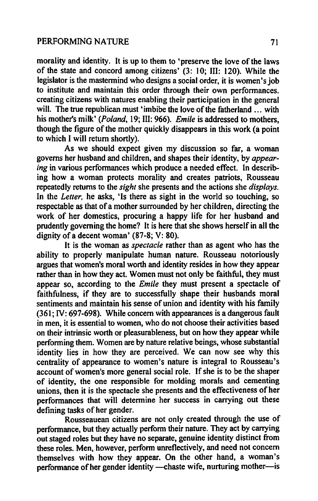#### PERFORMING NATURE 71

morality and identity. It is up to them to 'preserve the love of the laws of the state and concord among citizens' (3: 10; III: 120). While the legislator is the mastermind who designs a social order, it is women's job to institute and maintain this order through their own performances. creating citizens with natures enabling their participation in the general will. The true republican must 'imbibe the love of the fatherland ... with his mother's milk' *(Poland,* 19; 1lI: 966). *Emile* is addressed to mothers, though the figure of the mother quickly disappears in this work (a point to which I will return shortly).

As we should expect given my discussion so far, a woman eoverns her husband and children, and shapes their identity, by *appearing* in various performances which produce a needed effect. In describing how a woman protects morality and creates patriots, Rousseau repeatedly returns to the *sight* she presents and the actions she *displays.*  In the *Letter,* he asks, 'Is there as sight in the world so touching, so respectable as that of a mother surrounded by her children, directing the work of her domestics, procuring a happy life for her husband and prudently governing the home? It is here that she shows herself in all the dignity of a decent woman' (87-8; V: 80).

It is the woman as *spectacle* rather than as agent who has the ability to properly manipulate human nature. Rousseau notoriously argues that women's moral worth and identity resides in how they appear rather than in how they act. Women must not only be faithful, they must appear so, according to the *Emile* they must present a spectacle of faithfulness, if they are to successfully shape their husbands moral sentiments and maintain his sense of union and identity with his family (361; IV: 697-698). While concern with appearances is a dangerous fault in men, it is essential to women, who do not choose their activities based on their intrinsic worth or pleasurableness, but on how they appear while performing them. Women are by nature relative beings, whose substantial identity lies in how they are perceived. We can now see why this centrality of appearance to women's nature is integral to Rousseau's account of women's more general social role. If she is to be the shaper of identity, the one responsible for molding morals and cementing unions, then it is the spectacle she presents and the effectiveness of her performances that will determine her success in carrying out these defining tasks of her gender.

Rousseauean citizens are not only created through the use of performance, but they actually perform their nature. They act by carrying out staged roles but they have no separate, genuine identity distinct from these roles. Men, however, perform unreflectively, and need not concern themselves with how they appear. On the other hand, a woman's performance of her gender identity -- chaste wife, nurturing mother-is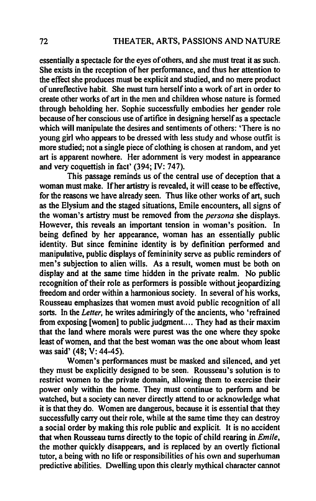essentially a spectacle for the eyes of others, and she must treat it as such. She exists in the reception of her performance, and thus her attention to the effect she produces must be explicit and studied, and no mere product of unreflective habit. She must tum herself into a work of art in order to create other works of art in the men and children whose nature is formed through beholding her. Sophie successfully embodies her gender role because of her conscious use of artifice in designing herself as a spectacle which will manipulate the desires and sentiments of others: 'There is no young girl who appears to be dressed with less study and whose outfit is more studied; not a single piece of clothing is chosen at random, and yet art is apparent nowhere. Her adornment is very modest in appearance and very coquettish in fact' (394; IV: 747).

This passage reminds us of the central use of deception that a woman must make. If her artistry is revealed, it will cease to be effective, for the reasons we have already seen. Thus like other works of art, such as the Elysium and the staged situations, Emile encounters, all signs of the woman's artistry must be removed from the *persona* she displays. However, this reveals an important tension in woman's position. In being defined by her appearance, woman has an essentially public identity. But since feminine identity is by definition performed and manipulative, public displays of femininity serve as public reminders of men's subjection to alien wills. As a result, women must be both on display and at the same time hidden in the private realm. No public recognition of their role as performers is possible without jeopardizing freedom and order within a harmonious society. In several of his works, Rousseau emphasizes that women must avoid public recognition of all sorts. In the *Letter,* he writes admiringly of the ancients, who 'refrained from exposing [women] to public judgment. ... They had as their maxim that the land where morals were purest was the one where they spoke least of women, and that the best woman was the one about whom least was said' (48; V: 44-45).

Women's performances must be masked and silenced, and yet they must be explicitly designed to be seen. Rousseau's solution is to restrict women to the private domain, allowing them to exercise their power only within the home. They must continue to perform and be watched, but a society can never directly attend to or acknowledge what it is that they do. Women are dangerous, because it is essential that they successfully carry out their role, while at the same time they can destroy a social order by making this role public and explicit. It is no accident that when Rousseau turns directly to the topic of child rearing in *Emile,*  the mother quickly disappears, and is replaced by an overtly fictional tutor, a being with no life or responsibilities of his own and superhuman predictive abilities. Dwelling upon this clearly mythical character cannot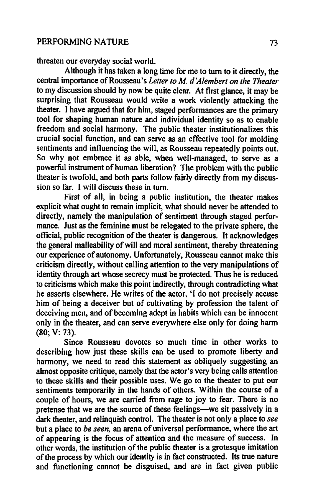threaten our everyday social world.

Although it has taken a long time for me to tum to it directly, the central importance of Rousseau's *Letter to M d'Alembert on the Theater*  to my discussion should by now be quite clear. At first glance, it may be surprising that Rousseau would write a work violently attacking the theater. I have argued that for him, staged performances are the primary tool for shaping human nature and individual identity so as to enable freedom and social harmony. The public theater institutionalizes this crucial social function, and can serve as an effective tool for molding sentiments and influencing the will, as Rousseau repeatedly points out. So why not embrace it as able, when well-managed, to serve as a powerful instrument of human liberation? The problem with the public theater is twofold, and both parts follow fairly directly from my discussion so far. 1 will discuss these in tum.

First of all, in being a public institution, the theater makes explicit what ought to remain implicit, what should never be attended to directly, namely the manipulation of sentiment through staged performance. Just as the feminine must be relegated to the private sphere, the official, public recognition of the theater is dangerous. It acknowledges the general malleability of will and moral sentiment, thereby threatening our experience of autonomy. Unfortunately, Rousseau cannot make this criticism directly, without calling attention to the very manipulations of identity through art whose secrecy must be protected. Thus he is reduced to criticisms which make this point indirectly, through contradicting what he asserts elsewhere. He writes of the actor, 'I do not precisely accuse him of being a deceiver but of cultivating by profession the talent of deceiving men, and of becoming adept in habits which can be innocent only in the theater, and can serve everywhere else only for doing harm (80; V: 73).

Since Rousseau devotes so much time in other works to describing how just these skills can be used to promote liberty and harmony, we need to read this statement as obliquely suggesting an almost opposite critique, namely that the actor's very being calls attention to these skills and their possible uses. We go to the theater to put our sentiments temporarily in the hands of others. Within the course of a couple of hours, we are carried from rage to joy to fear. There is no pretense that we are the source of these feelings—we sit passively in a dark theater, and relinquish control. The theater is not only a place to *see*  but a place to *be seen,* an arena of universal performance, where the art of appearing is the focus of attention and the measure of success. In other words, the institution of the public theater is a grotesque imitation of the process by which our identity is in fact constructed. Its true nature and functioning cannot be disguised, and are in fact given public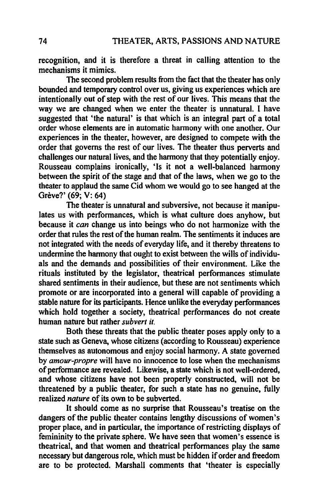recognition, and it is therefore a threat in calling attention to the mechanisms it mimics.

The second problem results from the fact that the theater has only bounded and temporary control over us, giving us experiences which are intentionally out of step with the rest of our lives. This means that the way we are changed when we enter the theater is unnatural. I have suggested that 'the natural' is that which is an integral part of a total order whose elements are in automatic harmony with one another. OUT experiences in the theater, however, are designed to compete with the order that governs the rest of our lives. The theater thus perverts and challenges our natural lives, and the harmony that they potentially enjoy. Rousseau complains ironically, 'Is it not a well-balanced harmony between the spirit of the stage and that of the laws, when we go to the theater to applaud the same Cid whom we would go to see hanged at the Grève?' (69; V: 64)

The theater is unnatural and subversive, not because it manipulates us with performances, which is what culture does anyhow, but because it *can* change us into beings who do not harmonize with the order that rules the rest of the human realm. The sentiments it induces are not integrated with the needs of everyday life, and it thereby threatens to undermine the harmony that ought to exist between the wills of individuals and the demands and possibilities of their environment. Like the rituals instituted by the legislator, theatrical performances stimulate shared sentiments in their audience, but these are not sentiments which promote or are incorporated into a general will capable of providing a stable nature for its participants. Hence unlike the everyday performances which hold together a society, theatrical performances do not create human nature but rather *subvert it.* 

Both these threats that the public theater poses apply only to a state such as Geneva, whose citizens (according to Rousseau) experience themselves as autonomous and enjoy social harmony. A state governed by *amour-propre* will have no innocence to lose when the mechanisms of performance are revealed. Likewise, a state which is not well-ordered, and whose citizens have not been properly constructed, will not be threatened by a public theater, for such a state has no genuine, fully realized *nature* of its own to be subverted.

It should come as no surprise that Rousseau's treatise on the dangers of the public theater contains lengthy discussions of women's proper place, and in particular, the importance of restricting displays of femininity to the private sphere. We have seen that women's essence is theatrical, and that women and theatrical performances play the same necessary but dangerous role, which must be hidden if order and freedom are to be protected. Marshall comments that 'theater is especially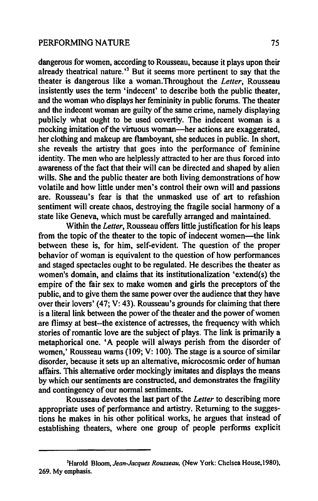dangerous for women, according to Rousseau, because it plays upon their already theatrical nature.<sup>3</sup> But it seems more pertinent to say that the theater is dangerous like a woman.Throughout the *Letter,* Rousseau insistently uses the term 'indecent' to describe both the public theater, and the woman who displays her femininity in public forums. The theater and the indecent woman are guilty of the same crime, namely displaying publicly what ought to be used covertly. The indecent woman is a mocking imitation of the virtuous woman-her actions are exaggerated, her clothing and makeup are flamboyant, she seduces in public. In short, she reveals the artistry that goes into the performance of feminine identity. The men who are helplessly attracted to her are thus forced into awareness of the fact that their will can be directed and shaped by alien wills. She and the public theater are both living demonstrations of how volatile and how little under men's control their own will and passions are. Rousseau's fear is that the unmasked use of art to refashion sentiment will create chaos, destroying the fragile social harmony of a state like Geneva, which must be carefully arranged and maintained.

Within the *Letter,* Rousseau offers little justification for his leaps from the topic of the theater to the topic of indecent women—the link between these is, for him, self-evident. The question of the proper behavior of woman is equivalent to the question of how performances and staged spectacles ought to be regulated. He describes the theater as women's domain, and claims that its institutionalization 'extend(s) the empire of the fair sex to make women and girls the preceptors of the public, and to give them the same power over the audience that they have over their lovers' (47; V: 43). Rousseau's grounds for claiming that there is a literal link between the power of the theater and the power of women are flimsy at best--the existence of actresses, the frequency with which stories of romantic love are the subject of plays. The link is primarily a metaphorical one. 'A people will always perish from the disorder of women,' Rousseau wams (109; V: 100). The stage is a source of similar disorder, because it sets up an alternative, microcosmic order of human affairs. This alternative order mockingly imitates and displays the means by which our sentiments are constructed, and demonstrates the fragility and contingency of our normal sentiments.

Rousseau devotes the last part of the *Letter* to describing more appropriate uses of performance and artistry. Returning to the suggestions he makes in his other political works, he argues that instead of establishing theaters, where one group of people performs explicit

<sup>&</sup>lt;sup>3</sup>Harold Bloom, *Jean-Jacques Rousseau*, (New York: Chelsea House, 1980), 269. My emphasis.